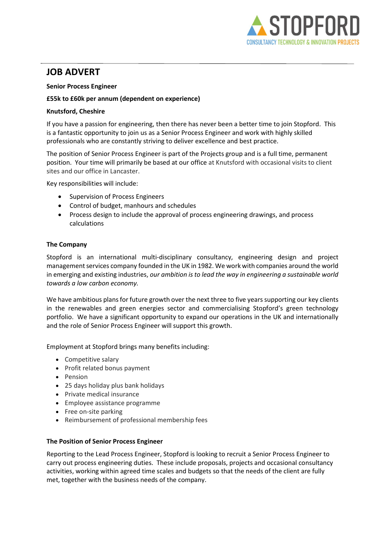

# JOB ADVERT

### Senior Process Engineer

# £55k to £60k per annum (dependent on experience)

# Knutsford, Cheshire

If you have a passion for engineering, then there has never been a better time to join Stopford. This is a fantastic opportunity to join us as a Senior Process Engineer and work with highly skilled professionals who are constantly striving to deliver excellence and best practice.

The position of Senior Process Engineer is part of the Projects group and is a full time, permanent position. Your time will primarily be based at our office at Knutsford with occasional visits to client sites and our office in Lancaster.

Key responsibilities will include:

- Supervision of Process Engineers
- Control of budget, manhours and schedules
- Process design to include the approval of process engineering drawings, and process calculations

# The Company

Stopford is an international multi-disciplinary consultancy, engineering design and project management services company founded in the UK in 1982. We work with companies around the world in emerging and existing industries, our ambition is to lead the way in engineering a sustainable world towards a low carbon economy. 

We have ambitious plans for future growth over the next three to five years supporting our key clients in the renewables and green energies sector and commercialising Stopford's green technology portfolio.  We have a significant opportunity to expand our operations in the UK and internationally and the role of Senior Process Engineer will support this growth. 

Employment at Stopford brings many benefits including:

- Competitive salary
- Profit related bonus payment
- Pension
- 25 days holiday plus bank holidays
- Private medical insurance
- Employee assistance programme
- Free on-site parking
- Reimbursement of professional membership fees

#### The Position of Senior Process Engineer

Reporting to the Lead Process Engineer, Stopford is looking to recruit a Senior Process Engineer to carry out process engineering duties. These include proposals, projects and occasional consultancy activities, working within agreed time scales and budgets so that the needs of the client are fully met, together with the business needs of the company.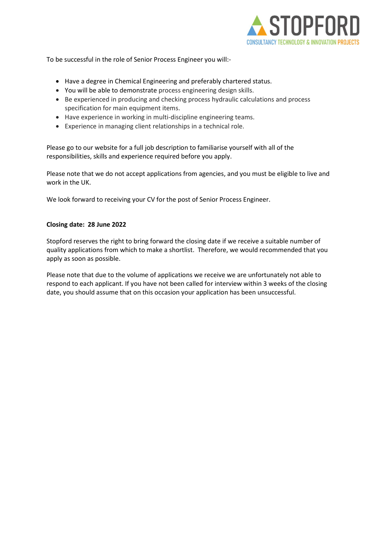

To be successful in the role of Senior Process Engineer you will:-

- Have a degree in Chemical Engineering and preferably chartered status.
- You will be able to demonstrate process engineering design skills.
- Be experienced in producing and checking process hydraulic calculations and process specification for main equipment items.
- Have experience in working in multi-discipline engineering teams.
- Experience in managing client relationships in a technical role.

Please go to our website for a full job description to familiarise yourself with all of the responsibilities, skills and experience required before you apply.

Please note that we do not accept applications from agencies, and you must be eligible to live and work in the UK.  

We look forward to receiving your CV for the post of Senior Process Engineer.   

#### Closing date:  28 June 2022

Stopford reserves the right to bring forward the closing date if we receive a suitable number of quality applications from which to make a shortlist.  Therefore, we would recommended that you apply as soon as possible.   

Please note that due to the volume of applications we receive we are unfortunately not able to respond to each applicant. If you have not been called for interview within 3 weeks of the closing date, you should assume that on this occasion your application has been unsuccessful.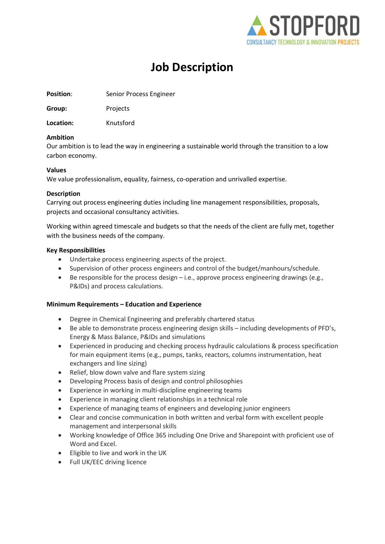

# Job Description

Position: Senior Process Engineer

Group: Projects

Location: Knutsford

# Ambition

Our ambition is to lead the way in engineering a sustainable world through the transition to a low carbon economy.

# Values

We value professionalism, equality, fairness, co-operation and unrivalled expertise.

# Description

Carrying out process engineering duties including line management responsibilities, proposals, projects and occasional consultancy activities.

Working within agreed timescale and budgets so that the needs of the client are fully met, together with the business needs of the company.

# Key Responsibilities

- Undertake process engineering aspects of the project.
- Supervision of other process engineers and control of the budget/manhours/schedule.
- Be responsible for the process design i.e., approve process engineering drawings (e.g., P&IDs) and process calculations.

# Minimum Requirements – Education and Experience

- Degree in Chemical Engineering and preferably chartered status
- Be able to demonstrate process engineering design skills including developments of PFD's, Energy & Mass Balance, P&IDs and simulations
- Experienced in producing and checking process hydraulic calculations & process specification for main equipment items (e.g., pumps, tanks, reactors, columns instrumentation, heat exchangers and line sizing)
- Relief, blow down valve and flare system sizing
- Developing Process basis of design and control philosophies
- Experience in working in multi-discipline engineering teams
- Experience in managing client relationships in a technical role
- Experience of managing teams of engineers and developing junior engineers
- Clear and concise communication in both written and verbal form with excellent people management and interpersonal skills
- Working knowledge of Office 365 including One Drive and Sharepoint with proficient use of Word and Excel.
- Eligible to live and work in the UK
- Full UK/EEC driving licence